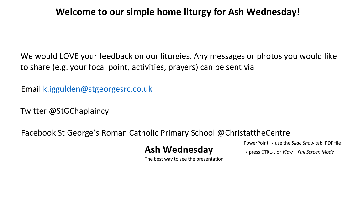#### **Welcome to our simple home liturgy for Ash Wednesday!**

We would LOVE your feedback on our liturgies. Any messages or photos you would like to share (e.g. your focal point, activities, prayers) can be sent via

Email k.iggulden@stgeorgesrc.co.uk

Twitter @StGChaplaincy

Facebook St George's Roman Catholic Primary School @ChristattheCentre

PowerPoint → use the *Slide Show* tab. PDF file

→ press CTRL-L or *View – Full Screen Mode*

The best way to see the presentation

**Ash Wednesday**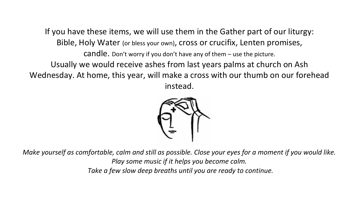If you have these items, we will use them in the Gather part of our liturgy: Bible, Holy Water (or bless your own), cross or crucifix, Lenten promises, candle. Don't worry if you don't have any of them – use the picture. Usually we would receive ashes from last years palms at church on Ash Wednesday. At home, this year, will make a cross with our thumb on our forehead instead.



*Make yourself as comfortable, calm and still as possible. Close your eyes for a moment if you would like. Play some music if it helps you become calm. Take a few slow deep breaths until you are ready to continue.*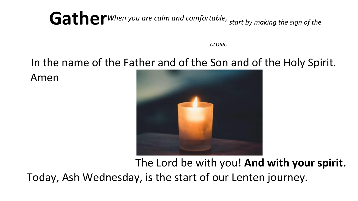## Gather *When you are calm and comfortable, start by making the sign of the*

*cross.* 

### In the name of the Father and of the Son and of the Holy Spirit.

Amen



The Lord be with you! **And with your spirit.** Today, Ash Wednesday, is the start of our Lenten journey.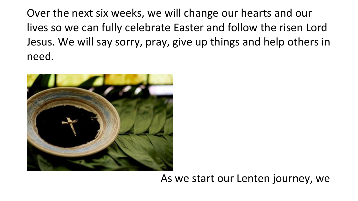Over the next six weeks, we will change our hearts and our lives so we can fully celebrate Easter and follow the risen Lord Jesus. We will say sorry, pray, give up things and help others in need.



#### As we start our Lenten journey, we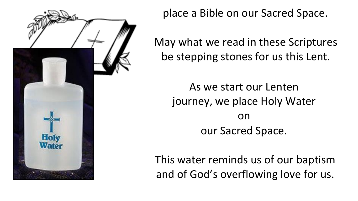

place a Bible on our Sacred Space.

May what we read in these Scriptures be stepping stones for us this Lent.

As we start our Lenten journey, we place Holy Water on our Sacred Space.

This water reminds us of our baptism and of God's overflowing love for us.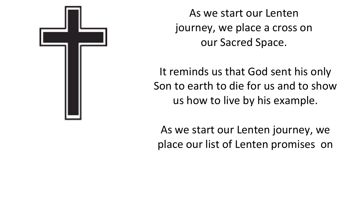

As we start our Lenten journey, we place a cross on our Sacred Space.

It reminds us that God sent his only Son to earth to die for us and to show us how to live by his example.

As we start our Lenten journey, we place our list of Lenten promises on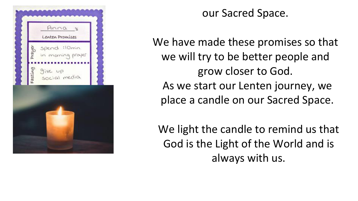

our Sacred Space.

We have made these promises so that we will try to be better people and grow closer to God. As we start our Lenten journey, we place a candle on our Sacred Space.

We light the candle to remind us that God is the Light of the World and is always with us.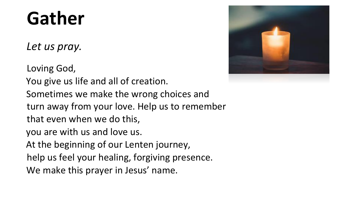## **Gather**

*Let us pray.* 

Loving God, You give us life and all of creation. Sometimes we make the wrong choices and turn away from your love. Help us to remember that even when we do this, you are with us and love us. At the beginning of our Lenten journey, help us feel your healing, forgiving presence. We make this prayer in Jesus' name.

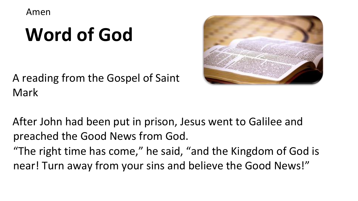Amen

# **Word of God**

A reading from the Gospel of Saint Mark



After John had been put in prison, Jesus went to Galilee and preached the Good News from God. "The right time has come," he said, "and the Kingdom of God is near! Turn away from your sins and believe the Good News!"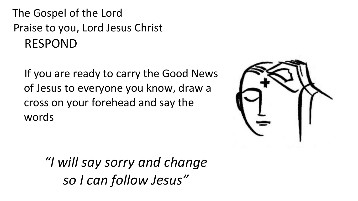The Gospel of the Lord Praise to you, Lord Jesus Christ RESPOND

If you are ready to carry the Good News of Jesus to everyone you know, draw a cross on your forehead and say the words



*"I will say sorry and change so I can follow Jesus"*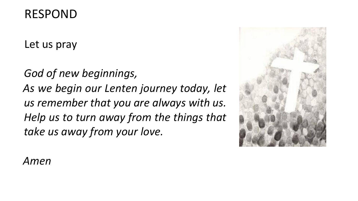### RESPOND

Let us pray

*God of new beginnings, As we begin our Lenten journey today, let us remember that you are always with us. Help us to turn away from the things that take us away from your love.* 



### *Amen*